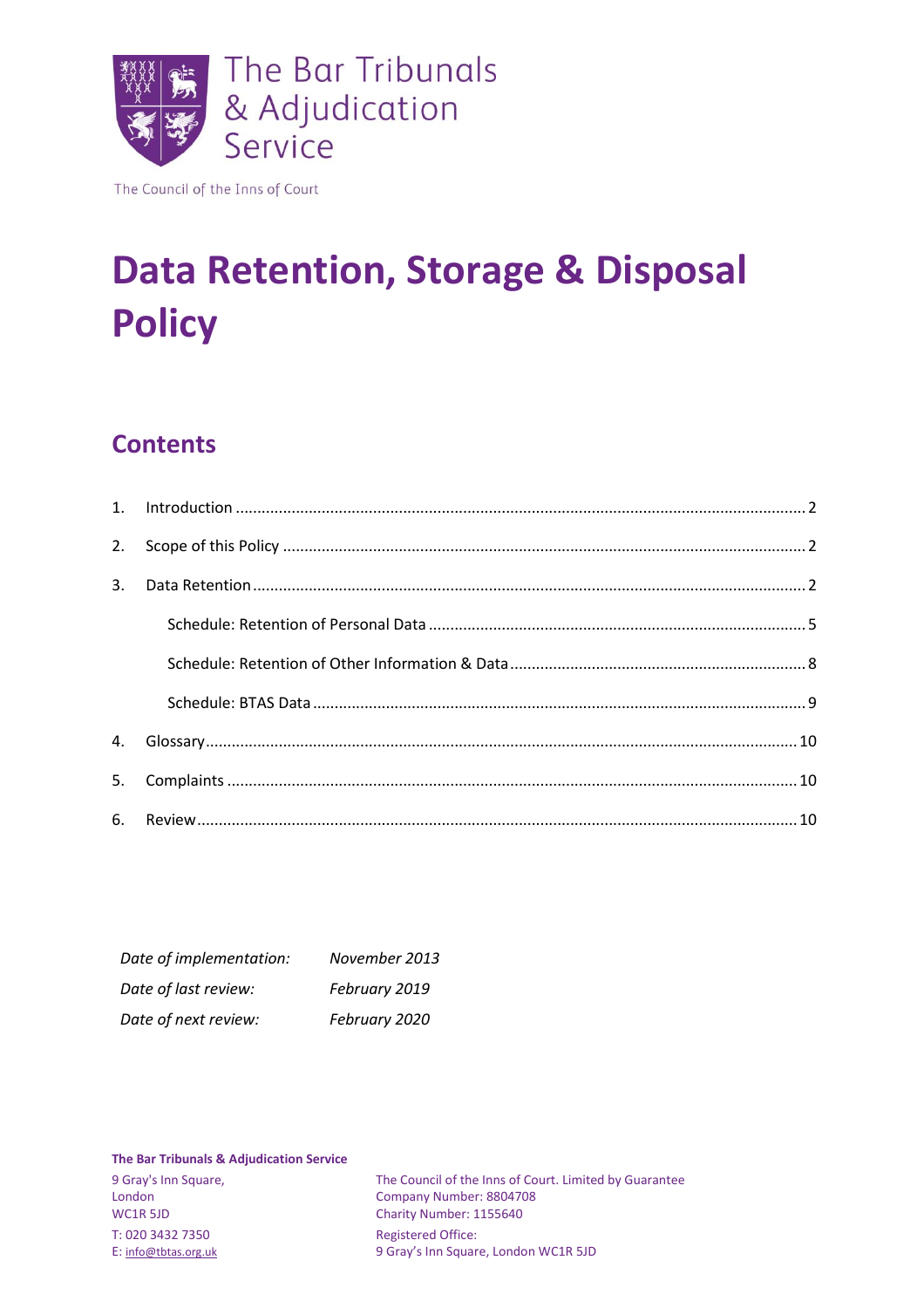

The Council of the Inns of Court

# **Data Retention, Storage & Disposal Policy**

# **Contents**

| 2.             |  |
|----------------|--|
| 3.             |  |
|                |  |
|                |  |
|                |  |
|                |  |
| $\mathbf{4}$ . |  |
| 5.             |  |
|                |  |

| Date of implementation: | November 2013 |
|-------------------------|---------------|
| Date of last review:    | February 2019 |
| Date of next review:    | February 2020 |

#### **The Bar Tribunals & Adjudication Service**

T: 020 3432 7350 Registered Office:

9 Gray's Inn Square, The Council of the Inns of Court. Limited by Guarantee London<br>Company Number: 8804708 London Company Number: 8804708<br>
WC1R 5JD Charity Number: 1155640 Charity Number: 1155640 E: [info@tbtas.org.uk](mailto:info@tbtas.org.uk) 9 Gray's Inn Square, London WC1R 5JD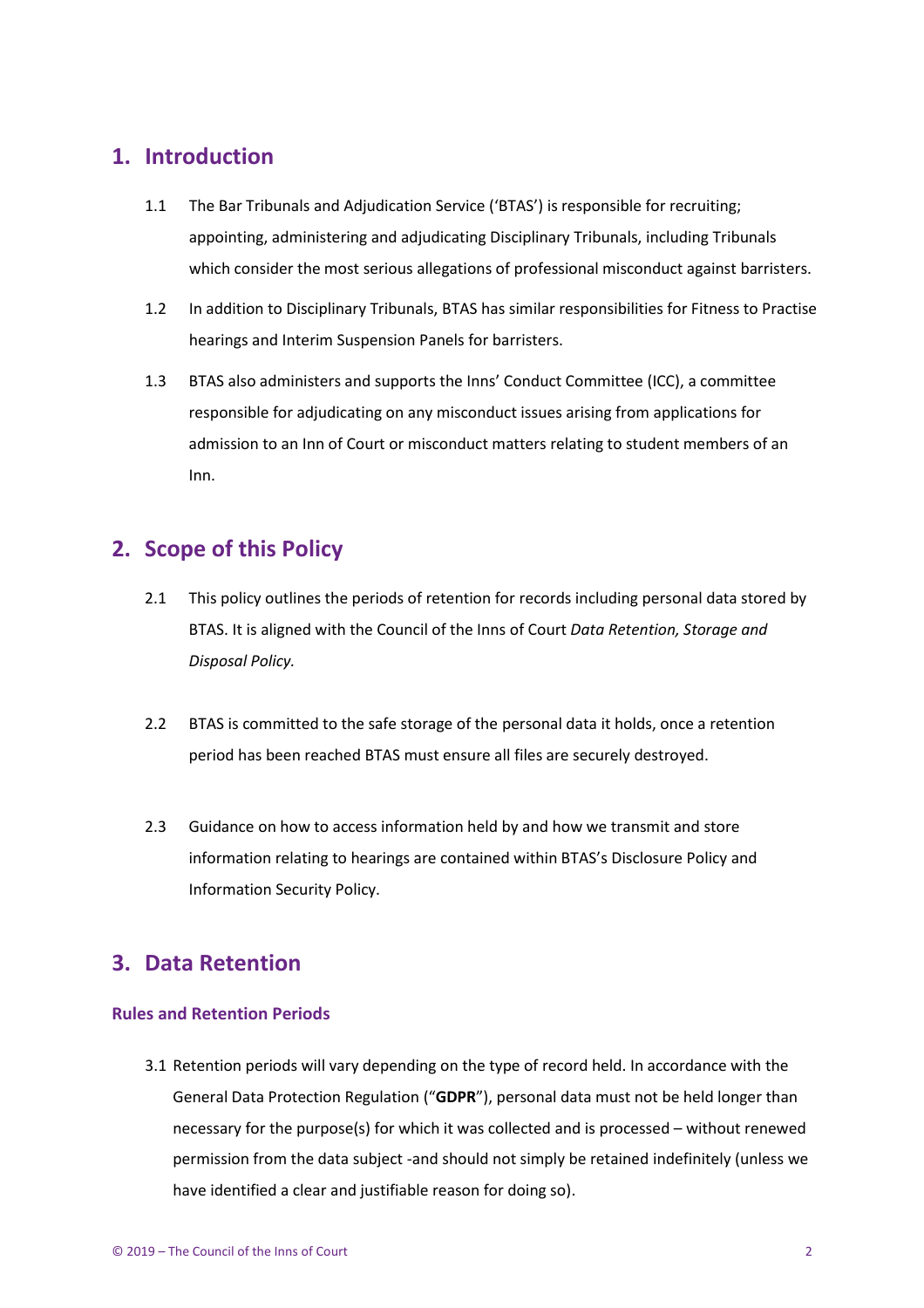### <span id="page-1-0"></span>**1. Introduction**

- 1.1 The Bar Tribunals and Adjudication Service ('BTAS') is responsible for recruiting; appointing, administering and adjudicating Disciplinary Tribunals, including Tribunals which consider the most serious allegations of professional misconduct against barristers.
- 1.2 In addition to Disciplinary Tribunals, BTAS has similar responsibilities for Fitness to Practise hearings and Interim Suspension Panels for barristers.
- 1.3 BTAS also administers and supports the Inns' Conduct Committee (ICC), a committee responsible for adjudicating on any misconduct issues arising from applications for admission to an Inn of Court or misconduct matters relating to student members of an Inn.

### <span id="page-1-1"></span>**2. Scope of this Policy**

- 2.1 This policy outlines the periods of retention for records including personal data stored by BTAS. It is aligned with the Council of the Inns of Court *Data Retention, Storage and Disposal Policy.*
- 2.2 BTAS is committed to the safe storage of the personal data it holds, once a retention period has been reached BTAS must ensure all files are securely destroyed.
- 2.3 Guidance on how to access information held by and how we transmit and store information relating to hearings are contained within BTAS's Disclosure Policy and Information Security Policy.

### <span id="page-1-2"></span>**3. Data Retention**

#### **Rules and Retention Periods**

3.1 Retention periods will vary depending on the type of record held. In accordance with the General Data Protection Regulation ("**GDPR**"), personal data must not be held longer than necessary for the purpose(s) for which it was collected and is processed – without renewed permission from the data subject -and should not simply be retained indefinitely (unless we have identified a clear and justifiable reason for doing so).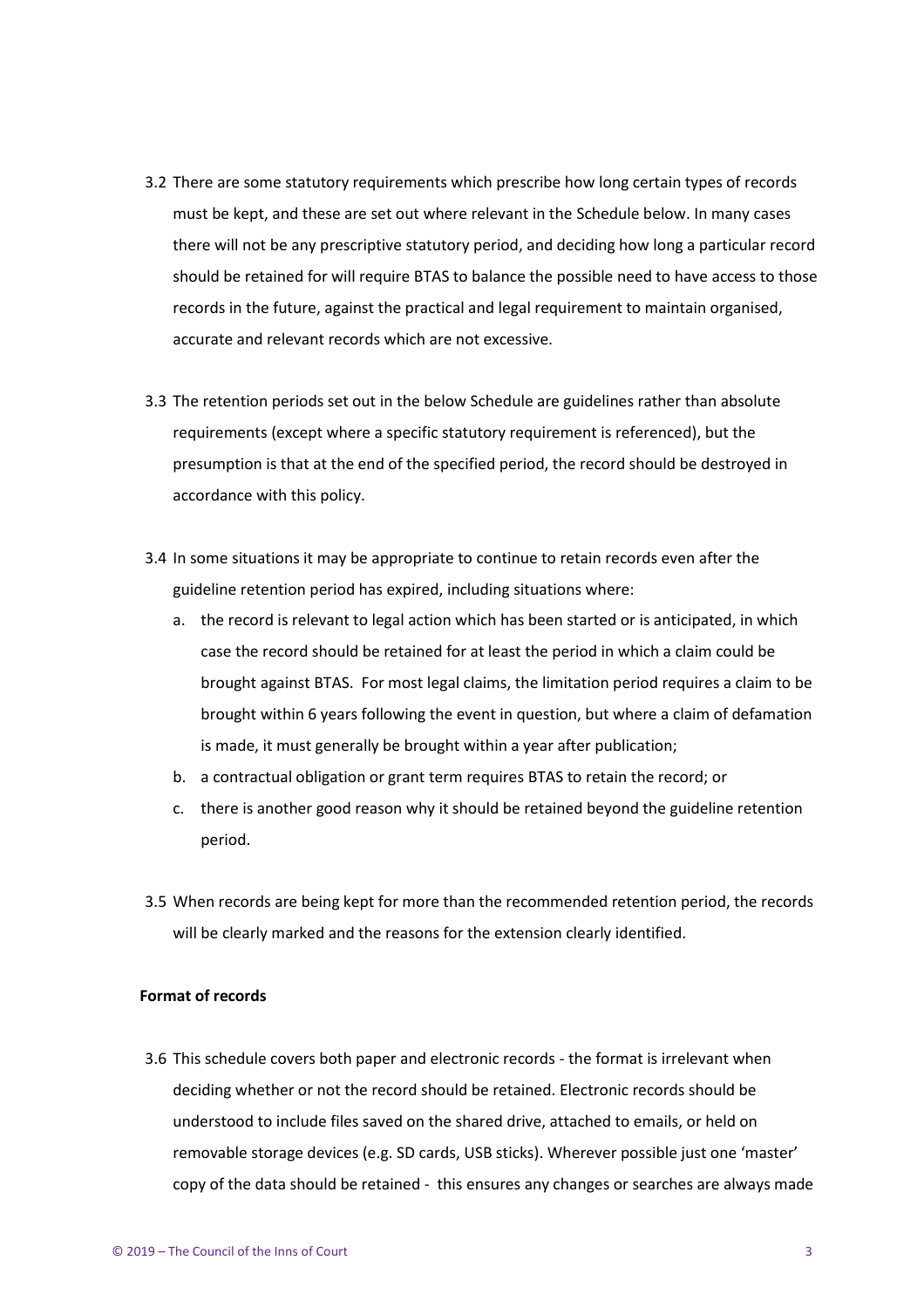- 3.2 There are some statutory requirements which prescribe how long certain types of records must be kept, and these are set out where relevant in the Schedule below. In many cases there will not be any prescriptive statutory period, and deciding how long a particular record should be retained for will require BTAS to balance the possible need to have access to those records in the future, against the practical and legal requirement to maintain organised, accurate and relevant records which are not excessive.
- 3.3 The retention periods set out in the below Schedule are guidelines rather than absolute requirements (except where a specific statutory requirement is referenced), but the presumption is that at the end of the specified period, the record should be destroyed in accordance with this policy.
- 3.4 In some situations it may be appropriate to continue to retain records even after the guideline retention period has expired, including situations where:
	- a. the record is relevant to legal action which has been started or is anticipated, in which case the record should be retained for at least the period in which a claim could be brought against BTAS. For most legal claims, the limitation period requires a claim to be brought within 6 years following the event in question, but where a claim of defamation is made, it must generally be brought within a year after publication;
	- b. a contractual obligation or grant term requires BTAS to retain the record; or
	- c. there is another good reason why it should be retained beyond the guideline retention period.
- 3.5 When records are being kept for more than the recommended retention period, the records will be clearly marked and the reasons for the extension clearly identified.

#### **Format of records**

3.6 This schedule covers both paper and electronic records - the format is irrelevant when deciding whether or not the record should be retained. Electronic records should be understood to include files saved on the shared drive, attached to emails, or held on removable storage devices (e.g. SD cards, USB sticks). Wherever possible just one 'master' copy of the data should be retained - this ensures any changes or searches are always made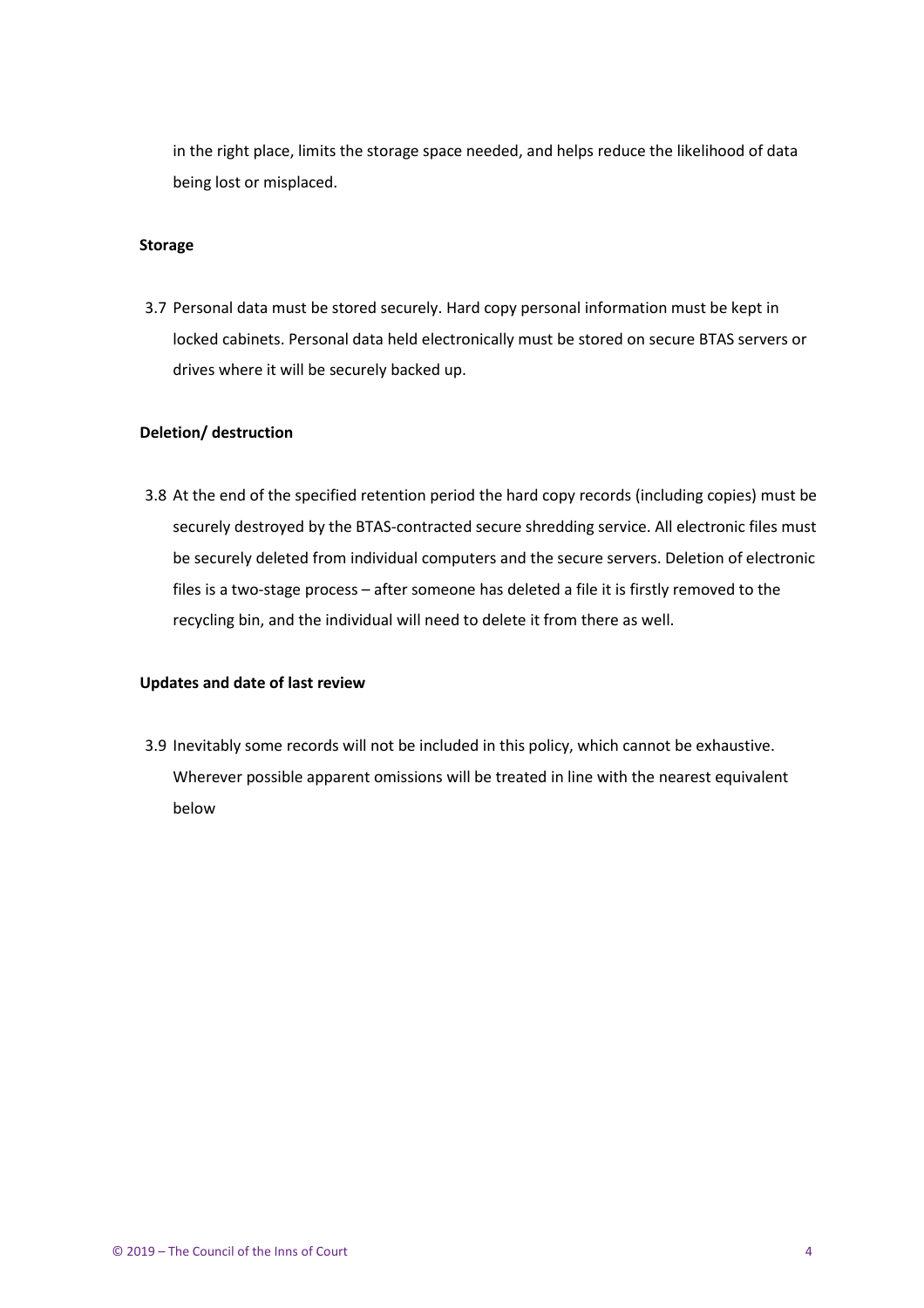in the right place, limits the storage space needed, and helps reduce the likelihood of data being lost or misplaced.

#### **Storage**

3.7 Personal data must be stored securely. Hard copy personal information must be kept in locked cabinets. Personal data held electronically must be stored on secure BTAS servers or drives where it will be securely backed up.

#### **Deletion/ destruction**

3.8 At the end of the specified retention period the hard copy records (including copies) must be securely destroyed by the BTAS-contracted secure shredding service. All electronic files must be securely deleted from individual computers and the secure servers. Deletion of electronic files is a two-stage process – after someone has deleted a file it is firstly removed to the recycling bin, and the individual will need to delete it from there as well.

#### **Updates and date of last review**

3.9 Inevitably some records will not be included in this policy, which cannot be exhaustive. Wherever possible apparent omissions will be treated in line with the nearest equivalent below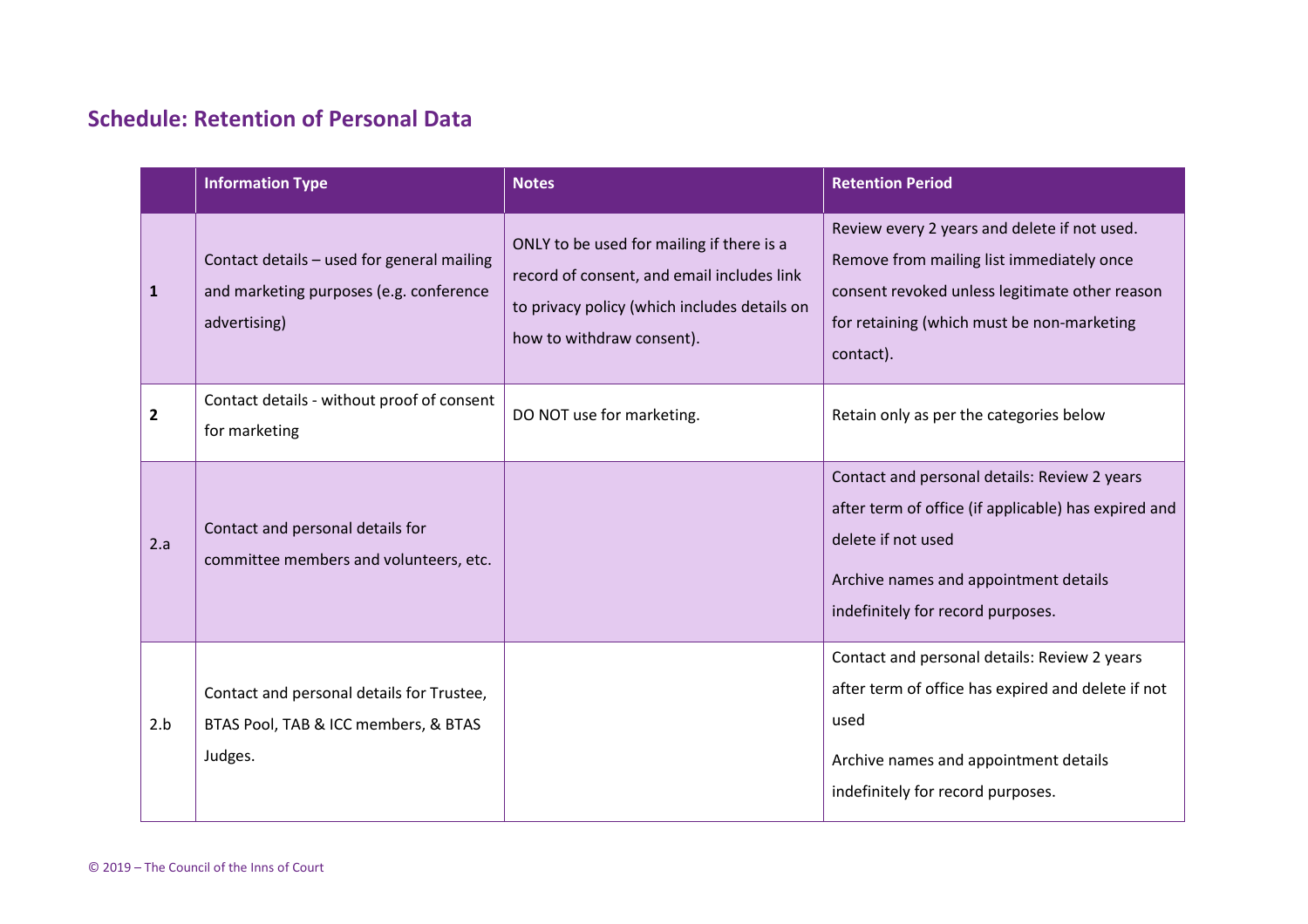# **Schedule: Retention of Personal Data**

<span id="page-4-0"></span>

|              | <b>Information Type</b>                                                                               | <b>Notes</b>                                                                                                                                                         | <b>Retention Period</b>                                                                                                                                                                                  |
|--------------|-------------------------------------------------------------------------------------------------------|----------------------------------------------------------------------------------------------------------------------------------------------------------------------|----------------------------------------------------------------------------------------------------------------------------------------------------------------------------------------------------------|
| $\mathbf{1}$ | Contact details - used for general mailing<br>and marketing purposes (e.g. conference<br>advertising) | ONLY to be used for mailing if there is a<br>record of consent, and email includes link<br>to privacy policy (which includes details on<br>how to withdraw consent). | Review every 2 years and delete if not used.<br>Remove from mailing list immediately once<br>consent revoked unless legitimate other reason<br>for retaining (which must be non-marketing<br>contact).   |
| 2            | Contact details - without proof of consent<br>for marketing                                           | DO NOT use for marketing.                                                                                                                                            | Retain only as per the categories below                                                                                                                                                                  |
| 2.a          | Contact and personal details for<br>committee members and volunteers, etc.                            |                                                                                                                                                                      | Contact and personal details: Review 2 years<br>after term of office (if applicable) has expired and<br>delete if not used<br>Archive names and appointment details<br>indefinitely for record purposes. |
| 2.b          | Contact and personal details for Trustee,<br>BTAS Pool, TAB & ICC members, & BTAS<br>Judges.          |                                                                                                                                                                      | Contact and personal details: Review 2 years<br>after term of office has expired and delete if not<br>used<br>Archive names and appointment details<br>indefinitely for record purposes.                 |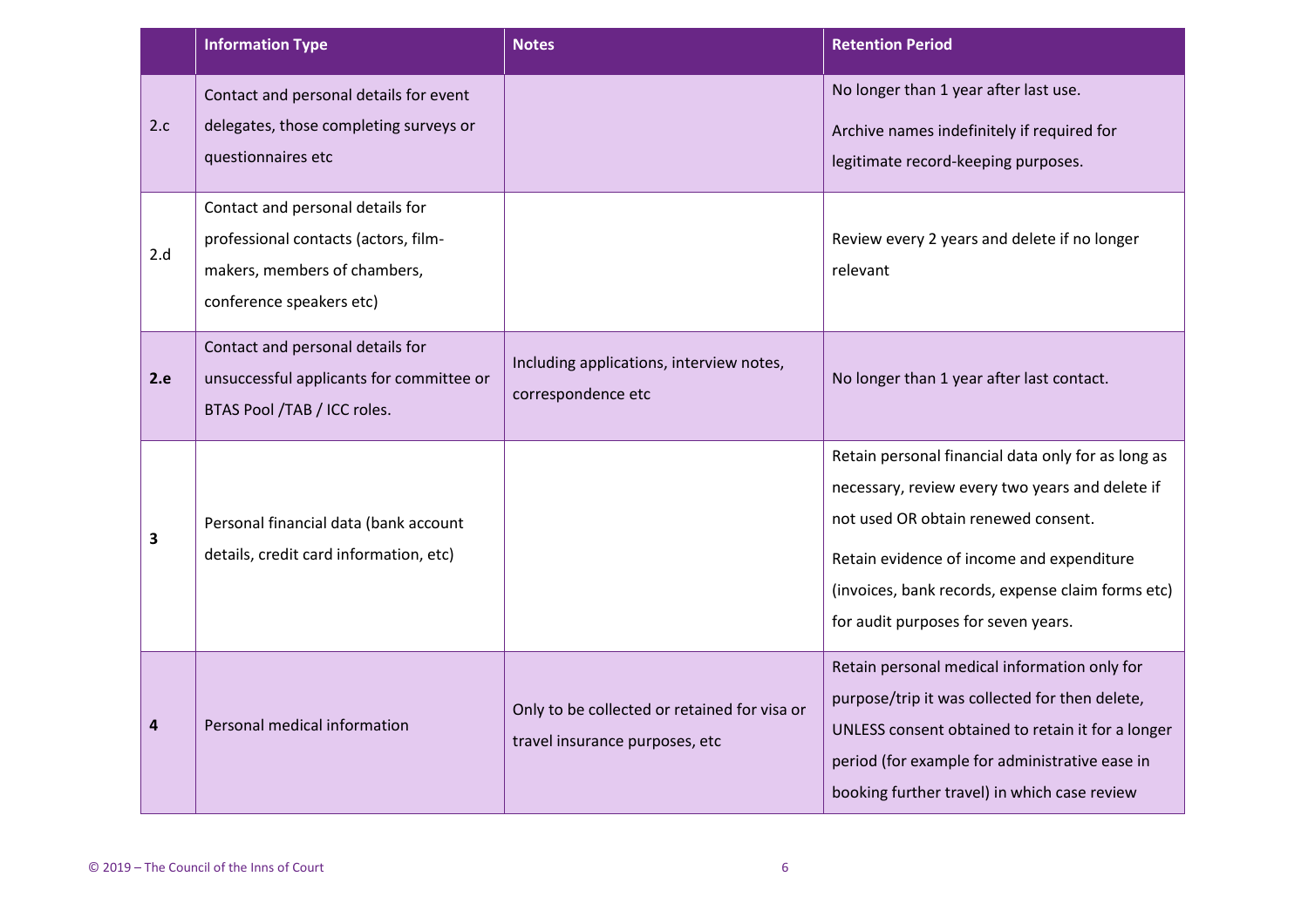|     | <b>Information Type</b>                                                                                                              | <b>Notes</b>                                                                   | <b>Retention Period</b>                                                                                                                                                                                                                                                               |
|-----|--------------------------------------------------------------------------------------------------------------------------------------|--------------------------------------------------------------------------------|---------------------------------------------------------------------------------------------------------------------------------------------------------------------------------------------------------------------------------------------------------------------------------------|
| 2.c | Contact and personal details for event<br>delegates, those completing surveys or<br>questionnaires etc                               |                                                                                | No longer than 1 year after last use.<br>Archive names indefinitely if required for<br>legitimate record-keeping purposes.                                                                                                                                                            |
| 2.d | Contact and personal details for<br>professional contacts (actors, film-<br>makers, members of chambers,<br>conference speakers etc) |                                                                                | Review every 2 years and delete if no longer<br>relevant                                                                                                                                                                                                                              |
| 2.e | Contact and personal details for<br>unsuccessful applicants for committee or<br>BTAS Pool /TAB / ICC roles.                          | Including applications, interview notes,<br>correspondence etc                 | No longer than 1 year after last contact.                                                                                                                                                                                                                                             |
| 3   | Personal financial data (bank account<br>details, credit card information, etc)                                                      |                                                                                | Retain personal financial data only for as long as<br>necessary, review every two years and delete if<br>not used OR obtain renewed consent.<br>Retain evidence of income and expenditure<br>(invoices, bank records, expense claim forms etc)<br>for audit purposes for seven years. |
| 4   | Personal medical information                                                                                                         | Only to be collected or retained for visa or<br>travel insurance purposes, etc | Retain personal medical information only for<br>purpose/trip it was collected for then delete,<br>UNLESS consent obtained to retain it for a longer<br>period (for example for administrative ease in<br>booking further travel) in which case review                                 |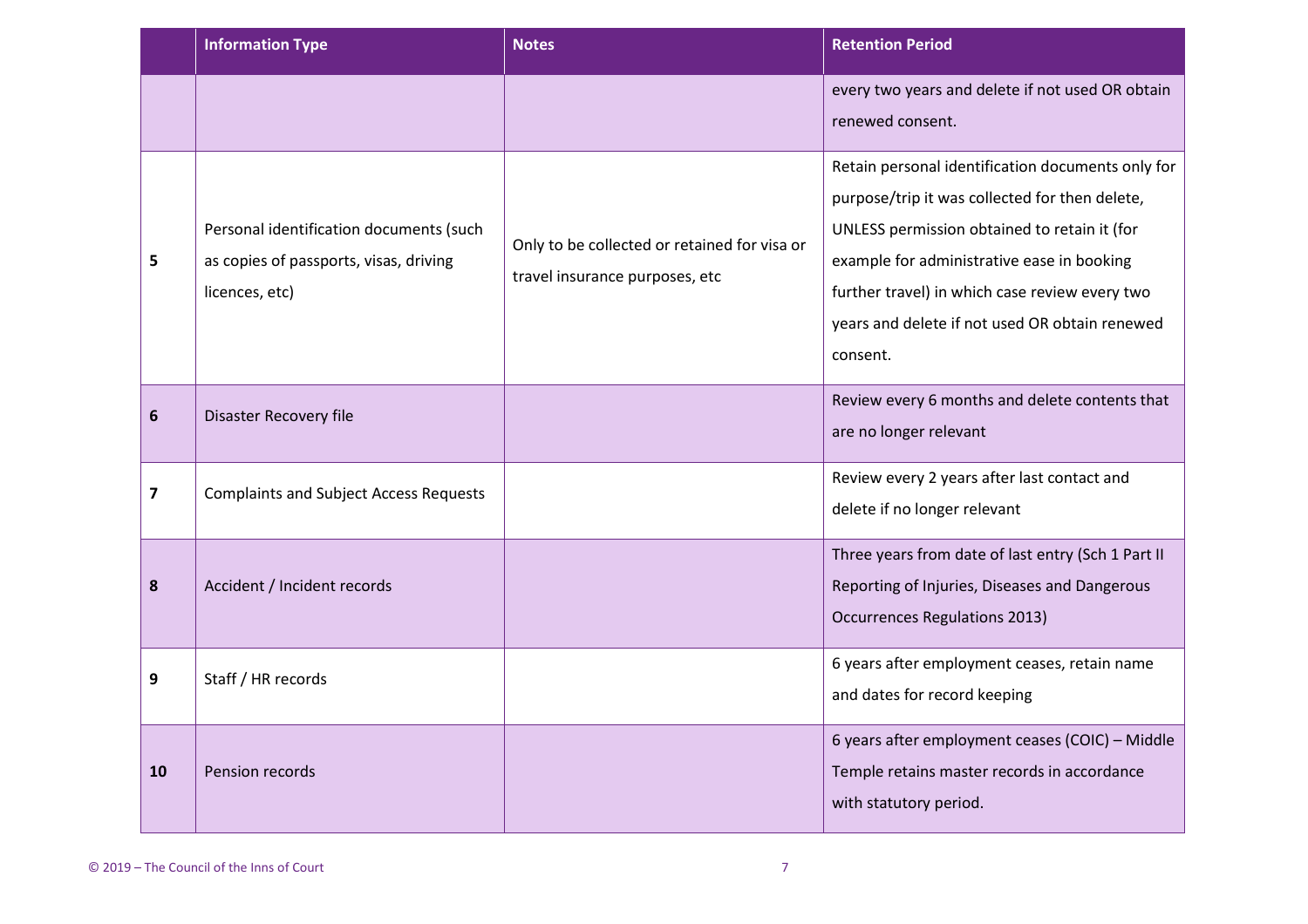|    | <b>Information Type</b>                                                                             | <b>Notes</b>                                                                   | <b>Retention Period</b>                                                                                                                                                                                                                                                                                           |
|----|-----------------------------------------------------------------------------------------------------|--------------------------------------------------------------------------------|-------------------------------------------------------------------------------------------------------------------------------------------------------------------------------------------------------------------------------------------------------------------------------------------------------------------|
|    |                                                                                                     |                                                                                | every two years and delete if not used OR obtain<br>renewed consent.                                                                                                                                                                                                                                              |
| 5  | Personal identification documents (such<br>as copies of passports, visas, driving<br>licences, etc) | Only to be collected or retained for visa or<br>travel insurance purposes, etc | Retain personal identification documents only for<br>purpose/trip it was collected for then delete,<br>UNLESS permission obtained to retain it (for<br>example for administrative ease in booking<br>further travel) in which case review every two<br>years and delete if not used OR obtain renewed<br>consent. |
| 6  | Disaster Recovery file                                                                              |                                                                                | Review every 6 months and delete contents that<br>are no longer relevant                                                                                                                                                                                                                                          |
| 7  | <b>Complaints and Subject Access Requests</b>                                                       |                                                                                | Review every 2 years after last contact and<br>delete if no longer relevant                                                                                                                                                                                                                                       |
| 8  | Accident / Incident records                                                                         |                                                                                | Three years from date of last entry (Sch 1 Part II<br>Reporting of Injuries, Diseases and Dangerous<br><b>Occurrences Regulations 2013)</b>                                                                                                                                                                       |
| 9  | Staff / HR records                                                                                  |                                                                                | 6 years after employment ceases, retain name<br>and dates for record keeping                                                                                                                                                                                                                                      |
| 10 | Pension records                                                                                     |                                                                                | 6 years after employment ceases (COIC) - Middle<br>Temple retains master records in accordance<br>with statutory period.                                                                                                                                                                                          |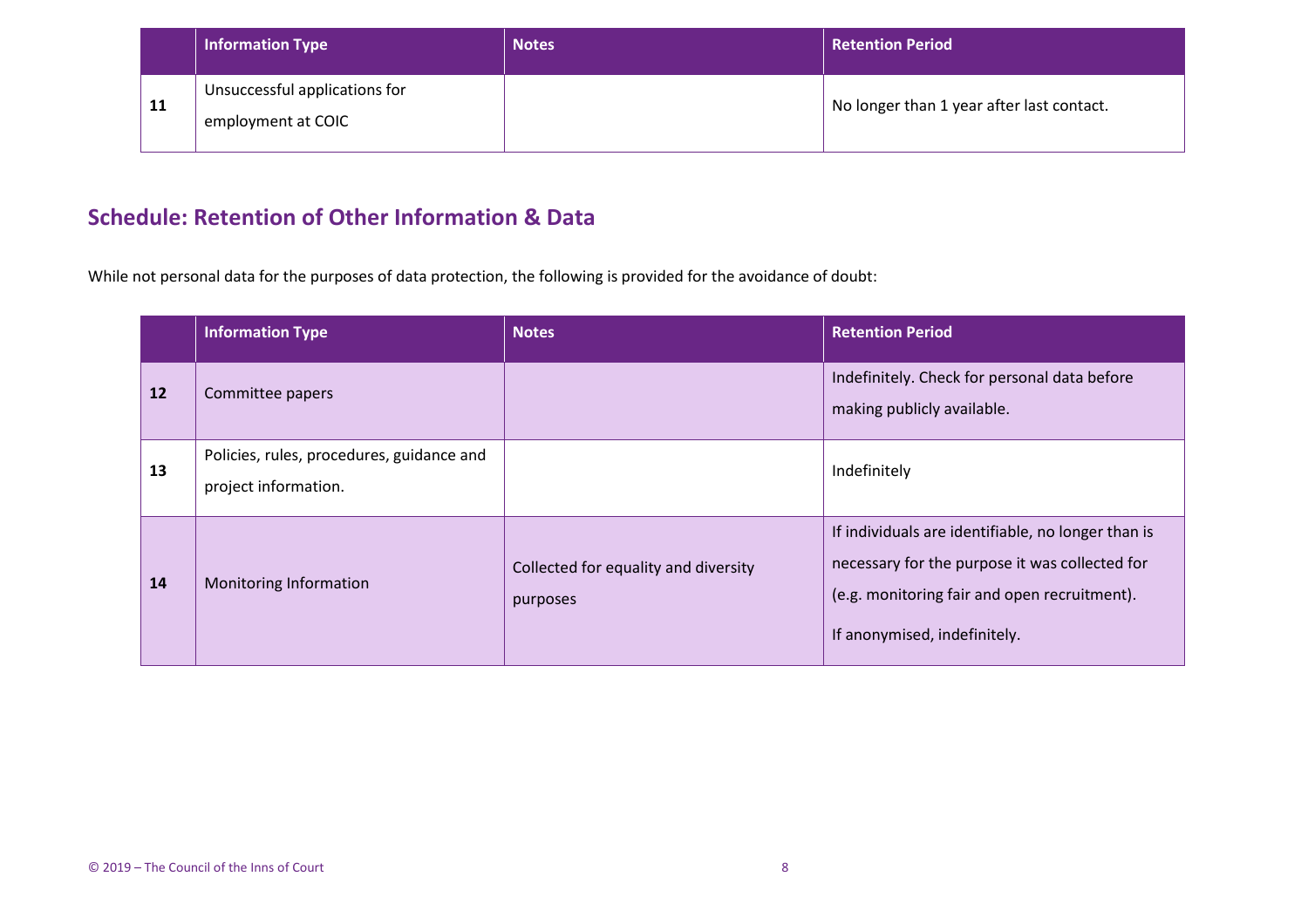|    | <b>Information Type</b>                             | <b>Notes</b> | <b>Retention Period</b>                   |
|----|-----------------------------------------------------|--------------|-------------------------------------------|
| 11 | Unsuccessful applications for<br>employment at COIC |              | No longer than 1 year after last contact. |

# **Schedule: Retention of Other Information & Data**

While not personal data for the purposes of data protection, the following is provided for the avoidance of doubt:

<span id="page-7-0"></span>

|    | <b>Information Type</b>                                           | <b>Notes</b>                                     | <b>Retention Period</b>                                                                                                                                                              |
|----|-------------------------------------------------------------------|--------------------------------------------------|--------------------------------------------------------------------------------------------------------------------------------------------------------------------------------------|
| 12 | Committee papers                                                  |                                                  | Indefinitely. Check for personal data before<br>making publicly available.                                                                                                           |
| 13 | Policies, rules, procedures, guidance and<br>project information. |                                                  | Indefinitely                                                                                                                                                                         |
| 14 | Monitoring Information                                            | Collected for equality and diversity<br>purposes | If individuals are identifiable, no longer than is<br>necessary for the purpose it was collected for<br>(e.g. monitoring fair and open recruitment).<br>If anonymised, indefinitely. |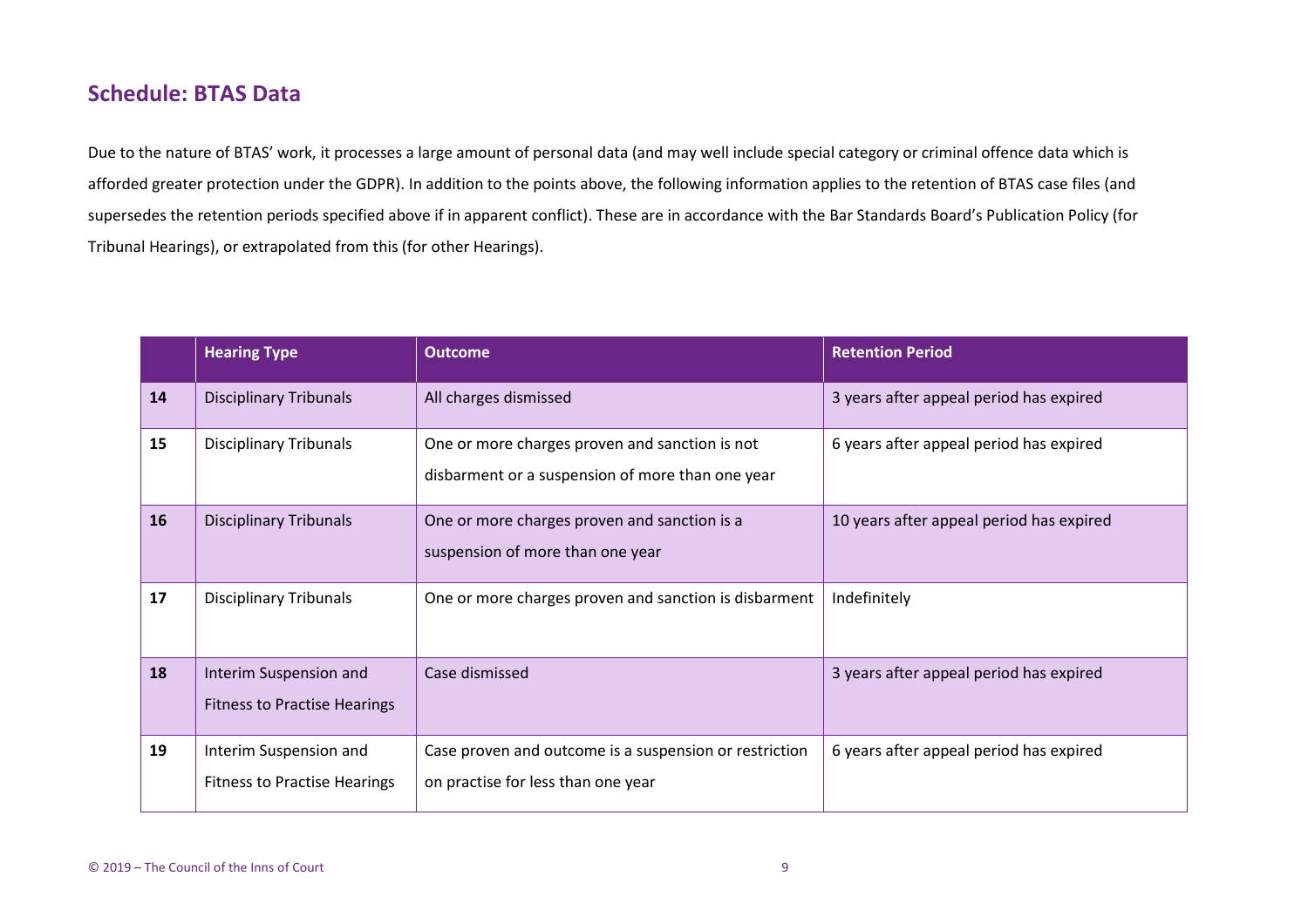### **Schedule: BTAS Data**

Due to the nature of BTAS' work, it processes a large amount of personal data (and may well include special category or criminal offence data which is afforded greater protection under the GDPR). In addition to the points above, the following information applies to the retention of BTAS case files (and supersedes the retention periods specified above if in apparent conflict). These are in accordance with the Bar Standards Board's Publication Policy (for Tribunal Hearings), or extrapolated from this (for other Hearings).

<span id="page-8-0"></span>

|    | <b>Hearing Type</b>                                           | <b>Outcome</b>                                                                                     | <b>Retention Period</b>                  |
|----|---------------------------------------------------------------|----------------------------------------------------------------------------------------------------|------------------------------------------|
| 14 | <b>Disciplinary Tribunals</b>                                 | All charges dismissed                                                                              | 3 years after appeal period has expired  |
| 15 | <b>Disciplinary Tribunals</b>                                 | One or more charges proven and sanction is not<br>disbarment or a suspension of more than one year | 6 years after appeal period has expired  |
| 16 | <b>Disciplinary Tribunals</b>                                 | One or more charges proven and sanction is a<br>suspension of more than one year                   | 10 years after appeal period has expired |
| 17 | <b>Disciplinary Tribunals</b>                                 | One or more charges proven and sanction is disbarment                                              | Indefinitely                             |
| 18 | Interim Suspension and<br><b>Fitness to Practise Hearings</b> | Case dismissed                                                                                     | 3 years after appeal period has expired  |
| 19 | Interim Suspension and<br><b>Fitness to Practise Hearings</b> | Case proven and outcome is a suspension or restriction<br>on practise for less than one year       | 6 years after appeal period has expired  |